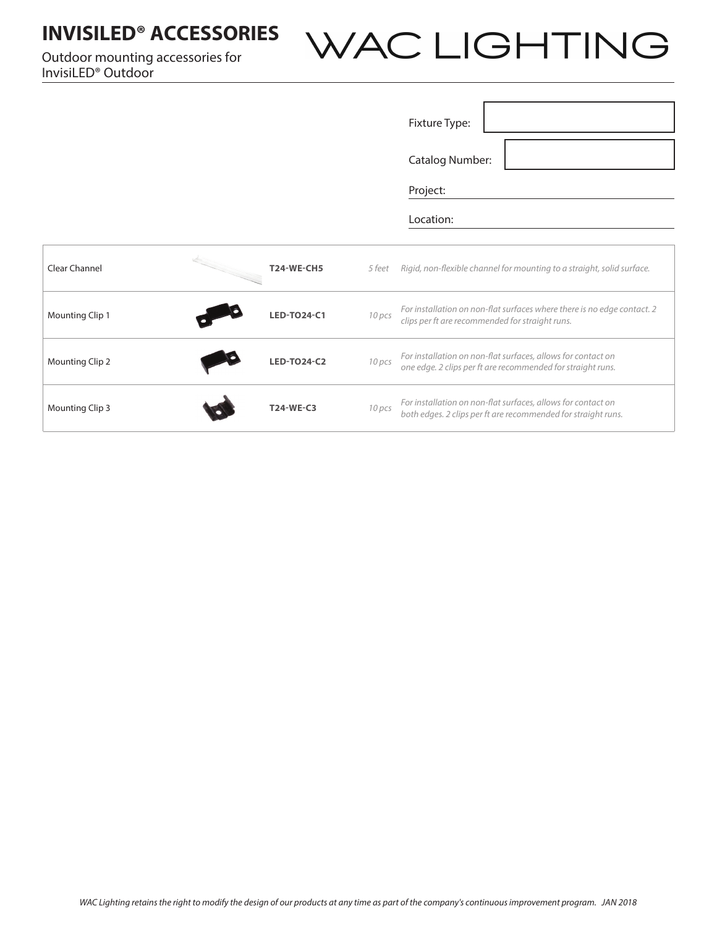## **INVISILED® ACCESSORIES** WAC LIGHTING Outdoor mounting accessories for InvisiLED® Outdoor Fixture Type: Catalog Number: Project: Location:Clear Channel **T24-WE-CH5** *5 feet Rigid, non-flexible channel for mounting to a straight, solid surface.*  Mounting Clip 1 **LED-TO24-C1** *10 pcs For installation on non-flat surfaces where there is no edge contact. 2* **LED-TO24-C1** *10 pcs clips nor ft are recommended for straight runs*

**Mounting Clip 2 LED-TO24-C2** *LED-TO24-C2 10 pcs For installation on non-flat surfaces, allows for contact on* **LED-TO24-C2** *LED-TO24-C2 <i>no. dee a clip perform and a for straight runs* 

Mounting Clip 3 **T24-WE-C3** *10 pcs For installation on non-flat surfaces, allows for contact on* 

*clips per ft are recommended for straight runs.*

*one edge. 2 clips per ft are recommended for straight runs.*

*both edges. 2 clips per ft are recommended for straight runs.*